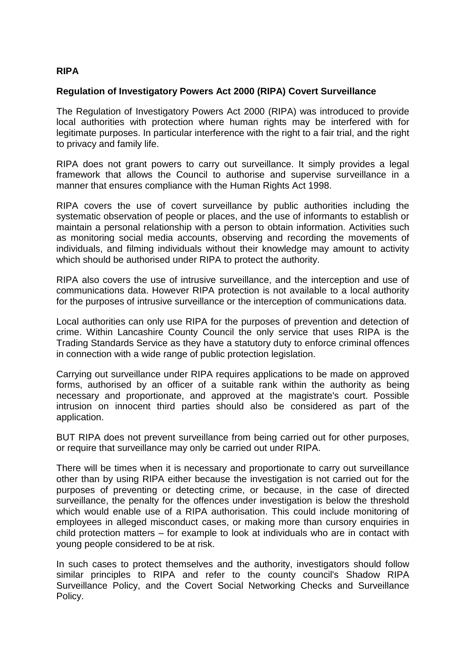## **RIPA**

## **Regulation of Investigatory Powers Act 2000 (RIPA) Covert Surveillance**

The Regulation of Investigatory Powers Act 2000 (RIPA) was introduced to provide local authorities with protection where human rights may be interfered with for legitimate purposes. In particular interference with the right to a fair trial, and the right to privacy and family life.

RIPA does not grant powers to carry out surveillance. It simply provides a legal framework that allows the Council to authorise and supervise surveillance in a manner that ensures compliance with the Human Rights Act 1998.

RIPA covers the use of covert surveillance by public authorities including the systematic observation of people or places, and the use of informants to establish or maintain a personal relationship with a person to obtain information. Activities such as monitoring social media accounts, observing and recording the movements of individuals, and filming individuals without their knowledge may amount to activity which should be authorised under RIPA to protect the authority.

RIPA also covers the use of intrusive surveillance, and the interception and use of communications data. However RIPA protection is not available to a local authority for the purposes of intrusive surveillance or the interception of communications data.

Local authorities can only use RIPA for the purposes of prevention and detection of crime. Within Lancashire County Council the only service that uses RIPA is the Trading Standards Service as they have a statutory duty to enforce criminal offences in connection with a wide range of public protection legislation.

Carrying out surveillance under RIPA requires applications to be made on approved forms, authorised by an officer of a suitable rank within the authority as being necessary and proportionate, and approved at the magistrate's court. Possible intrusion on innocent third parties should also be considered as part of the application.

BUT RIPA does not prevent surveillance from being carried out for other purposes, or require that surveillance may only be carried out under RIPA.

There will be times when it is necessary and proportionate to carry out surveillance other than by using RIPA either because the investigation is not carried out for the purposes of preventing or detecting crime, or because, in the case of directed surveillance, the penalty for the offences under investigation is below the threshold which would enable use of a RIPA authorisation. This could include monitoring of employees in alleged misconduct cases, or making more than cursory enquiries in child protection matters – for example to look at individuals who are in contact with young people considered to be at risk.

In such cases to protect themselves and the authority, investigators should follow similar principles to RIPA and refer to the county council's Shadow RIPA Surveillance Policy, and the Covert Social Networking Checks and Surveillance Policy.